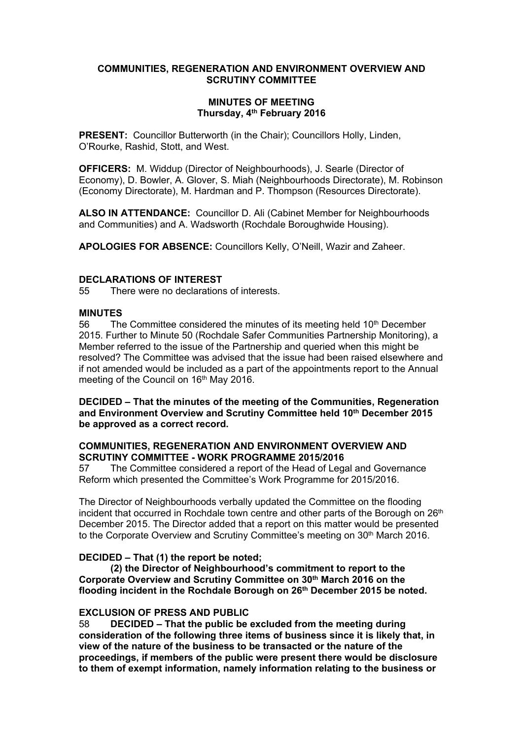### **COMMUNITIES, REGENERATION AND ENVIRONMENT OVERVIEW AND SCRUTINY COMMITTEE**

### **MINUTES OF MEETING Thursday, 4 th February 2016**

**PRESENT:** Councillor Butterworth (in the Chair); Councillors Holly, Linden, O'Rourke, Rashid, Stott, and West.

**OFFICERS:** M. Widdup (Director of Neighbourhoods), J. Searle (Director of Economy), D. Bowler, A. Glover, S. Miah (Neighbourhoods Directorate), M. Robinson (Economy Directorate), M. Hardman and P. Thompson (Resources Directorate).

**ALSO IN ATTENDANCE:** Councillor D. Ali (Cabinet Member for Neighbourhoods and Communities) and A. Wadsworth (Rochdale Boroughwide Housing).

**APOLOGIES FOR ABSENCE:** Councillors Kelly, O'Neill, Wazir and Zaheer.

# **DECLARATIONS OF INTEREST**

55 There were no declarations of interests.

### **MINUTES**

56 The Committee considered the minutes of its meeting held 10<sup>th</sup> December 2015. Further to Minute 50 (Rochdale Safer Communities Partnership Monitoring), a Member referred to the issue of the Partnership and queried when this might be resolved? The Committee was advised that the issue had been raised elsewhere and if not amended would be included as a part of the appointments report to the Annual meeting of the Council on 16<sup>th</sup> May 2016.

**DECIDED – That the minutes of the meeting of the Communities, Regeneration and Environment Overview and Scrutiny Committee held 10th December 2015 be approved as a correct record.**

### **COMMUNITIES, REGENERATION AND ENVIRONMENT OVERVIEW AND SCRUTINY COMMITTEE - WORK PROGRAMME 2015/2016**

57 The Committee considered a report of the Head of Legal and Governance Reform which presented the Committee's Work Programme for 2015/2016.

The Director of Neighbourhoods verbally updated the Committee on the flooding incident that occurred in Rochdale town centre and other parts of the Borough on 26<sup>th</sup> December 2015. The Director added that a report on this matter would be presented to the Corporate Overview and Scrutiny Committee's meeting on 30th March 2016.

# **DECIDED – That (1) the report be noted;**

**(2) the Director of Neighbourhood's commitment to report to the Corporate Overview and Scrutiny Committee on 30th March 2016 on the flooding incident in the Rochdale Borough on 26th December 2015 be noted.**

### **EXCLUSION OF PRESS AND PUBLIC**

58 **DECIDED – That the public be excluded from the meeting during consideration of the following three items of business since it is likely that, in view of the nature of the business to be transacted or the nature of the proceedings, if members of the public were present there would be disclosure to them of exempt information, namely information relating to the business or**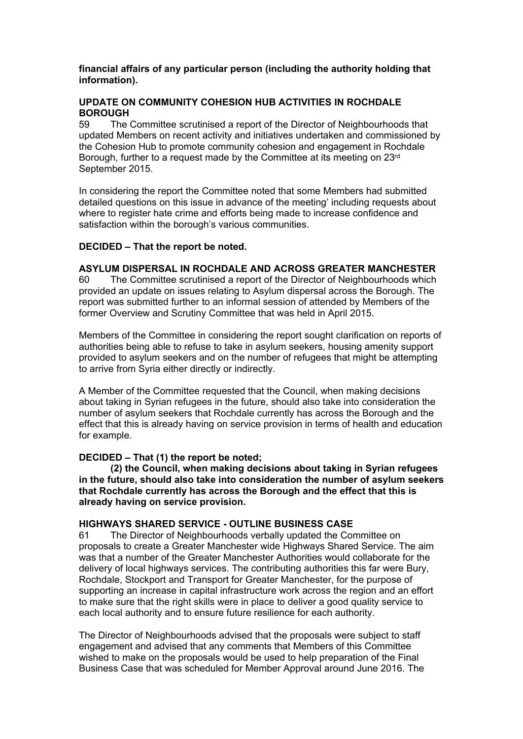## **financial affairs of any particular person (including the authority holding that information).**

# **UPDATE ON COMMUNITY COHESION HUB ACTIVITIES IN ROCHDALE BOROUGH**

59 The Committee scrutinised a report of the Director of Neighbourhoods that updated Members on recent activity and initiatives undertaken and commissioned by the Cohesion Hub to promote community cohesion and engagement in Rochdale Borough, further to a request made by the Committee at its meeting on 23rd September 2015.

In considering the report the Committee noted that some Members had submitted detailed questions on this issue in advance of the meeting' including requests about where to register hate crime and efforts being made to increase confidence and satisfaction within the borough's various communities.

### **DECIDED – That the report be noted.**

### **ASYLUM DISPERSAL IN ROCHDALE AND ACROSS GREATER MANCHESTER**

60 The Committee scrutinised a report of the Director of Neighbourhoods which provided an update on issues relating to Asylum dispersal across the Borough. The report was submitted further to an informal session of attended by Members of the former Overview and Scrutiny Committee that was held in April 2015.

Members of the Committee in considering the report sought clarification on reports of authorities being able to refuse to take in asylum seekers, housing amenity support provided to asylum seekers and on the number of refugees that might be attempting to arrive from Syria either directly or indirectly.

A Member of the Committee requested that the Council, when making decisions about taking in Syrian refugees in the future, should also take into consideration the number of asylum seekers that Rochdale currently has across the Borough and the effect that this is already having on service provision in terms of health and education for example.

# **DECIDED – That (1) the report be noted;**

**(2) the Council, when making decisions about taking in Syrian refugees in the future, should also take into consideration the number of asylum seekers that Rochdale currently has across the Borough and the effect that this is already having on service provision.**

#### **HIGHWAYS SHARED SERVICE - OUTLINE BUSINESS CASE**

61 The Director of Neighbourhoods verbally updated the Committee on proposals to create a Greater Manchester wide Highways Shared Service. The aim was that a number of the Greater Manchester Authorities would collaborate for the delivery of local highways services. The contributing authorities this far were Bury, Rochdale, Stockport and Transport for Greater Manchester, for the purpose of supporting an increase in capital infrastructure work across the region and an effort to make sure that the right skills were in place to deliver a good quality service to each local authority and to ensure future resilience for each authority.

The Director of Neighbourhoods advised that the proposals were subject to staff engagement and advised that any comments that Members of this Committee wished to make on the proposals would be used to help preparation of the Final Business Case that was scheduled for Member Approval around June 2016. The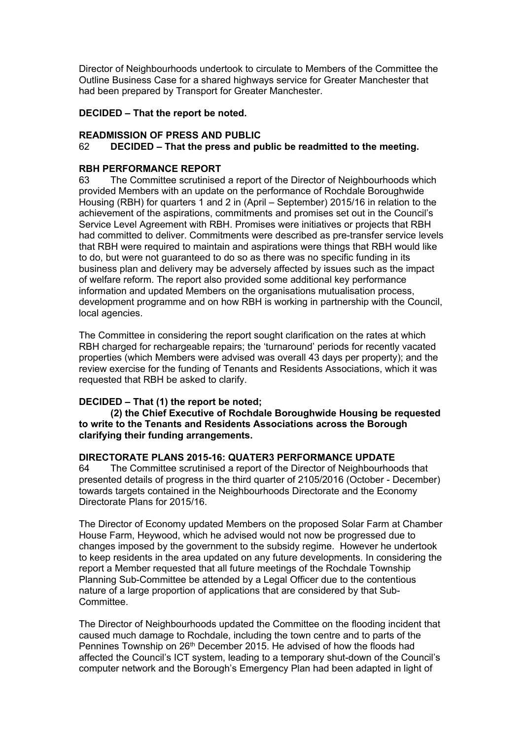Director of Neighbourhoods undertook to circulate to Members of the Committee the Outline Business Case for a shared highways service for Greater Manchester that had been prepared by Transport for Greater Manchester.

## **DECIDED – That the report be noted.**

### **READMISSION OF PRESS AND PUBLIC**

### 62 **DECIDED – That the press and public be readmitted to the meeting.**

### **RBH PERFORMANCE REPORT**

63 The Committee scrutinised a report of the Director of Neighbourhoods which provided Members with an update on the performance of Rochdale Boroughwide Housing (RBH) for quarters 1 and 2 in (April – September) 2015/16 in relation to the achievement of the aspirations, commitments and promises set out in the Council's Service Level Agreement with RBH. Promises were initiatives or projects that RBH had committed to deliver. Commitments were described as pre-transfer service levels that RBH were required to maintain and aspirations were things that RBH would like to do, but were not guaranteed to do so as there was no specific funding in its business plan and delivery may be adversely affected by issues such as the impact of welfare reform. The report also provided some additional key performance information and updated Members on the organisations mutualisation process, development programme and on how RBH is working in partnership with the Council, local agencies.

The Committee in considering the report sought clarification on the rates at which RBH charged for rechargeable repairs; the 'turnaround' periods for recently vacated properties (which Members were advised was overall 43 days per property); and the review exercise for the funding of Tenants and Residents Associations, which it was requested that RBH be asked to clarify.

# **DECIDED – That (1) the report be noted;**

**(2) the Chief Executive of Rochdale Boroughwide Housing be requested to write to the Tenants and Residents Associations across the Borough clarifying their funding arrangements.** 

# **DIRECTORATE PLANS 2015-16: QUATER3 PERFORMANCE UPDATE**

64 The Committee scrutinised a report of the Director of Neighbourhoods that presented details of progress in the third quarter of 2105/2016 (October - December) towards targets contained in the Neighbourhoods Directorate and the Economy Directorate Plans for 2015/16.

The Director of Economy updated Members on the proposed Solar Farm at Chamber House Farm, Heywood, which he advised would not now be progressed due to changes imposed by the government to the subsidy regime. However he undertook to keep residents in the area updated on any future developments. In considering the report a Member requested that all future meetings of the Rochdale Township Planning Sub-Committee be attended by a Legal Officer due to the contentious nature of a large proportion of applications that are considered by that Sub-Committee.

The Director of Neighbourhoods updated the Committee on the flooding incident that caused much damage to Rochdale, including the town centre and to parts of the Pennines Township on 26<sup>th</sup> December 2015. He advised of how the floods had affected the Council's ICT system, leading to a temporary shut-down of the Council's computer network and the Borough's Emergency Plan had been adapted in light of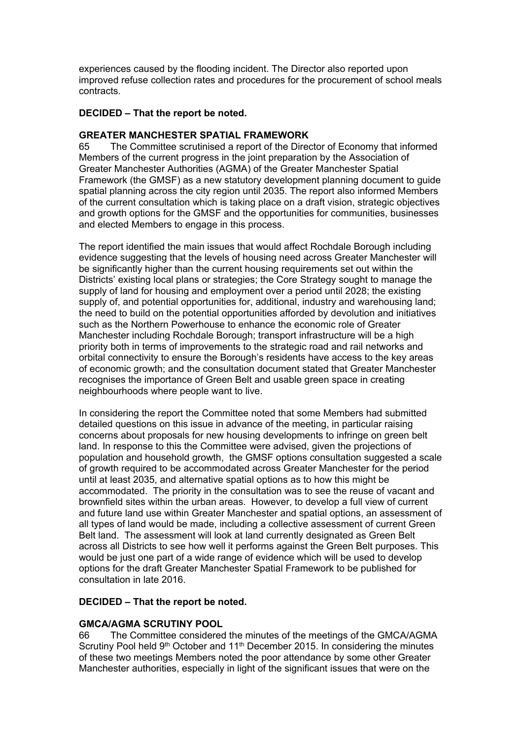experiences caused by the flooding incident. The Director also reported upon improved refuse collection rates and procedures for the procurement of school meals contracts.

## **DECIDED – That the report be noted.**

### **GREATER MANCHESTER SPATIAL FRAMEWORK**

65 The Committee scrutinised a report of the Director of Economy that informed Members of the current progress in the joint preparation by the Association of Greater Manchester Authorities (AGMA) of the Greater Manchester Spatial Framework (the GMSF) as a new statutory development planning document to guide spatial planning across the city region until 2035. The report also informed Members of the current consultation which is taking place on a draft vision, strategic objectives and growth options for the GMSF and the opportunities for communities, businesses and elected Members to engage in this process.

The report identified the main issues that would affect Rochdale Borough including evidence suggesting that the levels of housing need across Greater Manchester will be significantly higher than the current housing requirements set out within the Districts' existing local plans or strategies; the Core Strategy sought to manage the supply of land for housing and employment over a period until 2028; the existing supply of, and potential opportunities for, additional, industry and warehousing land; the need to build on the potential opportunities afforded by devolution and initiatives such as the Northern Powerhouse to enhance the economic role of Greater Manchester including Rochdale Borough; transport infrastructure will be a high priority both in terms of improvements to the strategic road and rail networks and orbital connectivity to ensure the Borough's residents have access to the key areas of economic growth; and the consultation document stated that Greater Manchester recognises the importance of Green Belt and usable green space in creating neighbourhoods where people want to live.

In considering the report the Committee noted that some Members had submitted detailed questions on this issue in advance of the meeting, in particular raising concerns about proposals for new housing developments to infringe on green belt land. In response to this the Committee were advised, given the projections of population and household growth, the GMSF options consultation suggested a scale of growth required to be accommodated across Greater Manchester for the period until at least 2035, and alternative spatial options as to how this might be accommodated. The priority in the consultation was to see the reuse of vacant and brownfield sites within the urban areas. However, to develop a full view of current and future land use within Greater Manchester and spatial options, an assessment of all types of land would be made, including a collective assessment of current Green Belt land. The assessment will look at land currently designated as Green Belt across all Districts to see how well it performs against the Green Belt purposes. This would be just one part of a wide range of evidence which will be used to develop options for the draft Greater Manchester Spatial Framework to be published for consultation in late 2016.

# **DECIDED – That the report be noted.**

# **GMCA/AGMA SCRUTINY POOL**

66 The Committee considered the minutes of the meetings of the GMCA/AGMA Scrutiny Pool held 9<sup>th</sup> October and 11<sup>th</sup> December 2015. In considering the minutes of these two meetings Members noted the poor attendance by some other Greater Manchester authorities, especially in light of the significant issues that were on the